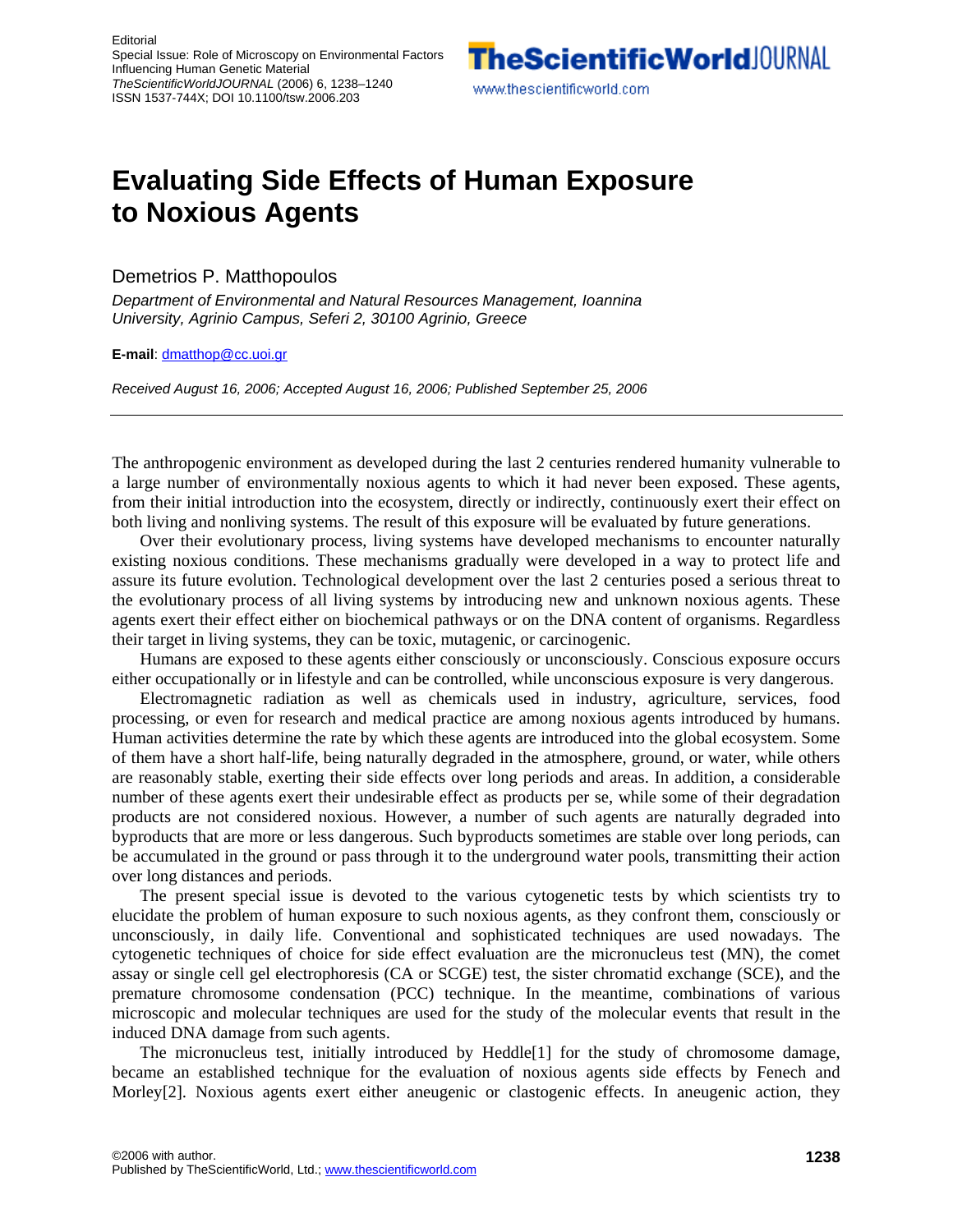

## **Evaluating Side Effects of Human Exposure to Noxious Agents**

## Demetrios P. Matthopoulos

*Department of Environmental and Natural Resources Management, Ioannina University, Agrinio Campus, Seferi 2, 30100 Agrinio, Greece* 

**E-mail**: dmatthop@cc.uoi.gr

*Received August 16, 2006; Accepted August 16, 2006; Published September 25, 2006*

The anthropogenic environment as developed during the last 2 centuries rendered humanity vulnerable to a large number of environmentally noxious agents to which it had never been exposed. These agents, from their initial introduction into the ecosystem, directly or indirectly, continuously exert their effect on both living and nonliving systems. The result of this exposure will be evaluated by future generations.

Over their evolutionary process, living systems have developed mechanisms to encounter naturally existing noxious conditions. These mechanisms gradually were developed in a way to protect life and assure its future evolution. Technological development over the last 2 centuries posed a serious threat to the evolutionary process of all living systems by introducing new and unknown noxious agents. These agents exert their effect either on biochemical pathways or on the DNA content of organisms. Regardless their target in living systems, they can be toxic, mutagenic, or carcinogenic.

Humans are exposed to these agents either consciously or unconsciously. Conscious exposure occurs either occupationally or in lifestyle and can be controlled, while unconscious exposure is very dangerous.

Electromagnetic radiation as well as chemicals used in industry, agriculture, services, food processing, or even for research and medical practice are among noxious agents introduced by humans. Human activities determine the rate by which these agents are introduced into the global ecosystem. Some of them have a short half-life, being naturally degraded in the atmosphere, ground, or water, while others are reasonably stable, exerting their side effects over long periods and areas. In addition, a considerable number of these agents exert their undesirable effect as products per se, while some of their degradation products are not considered noxious. However, a number of such agents are naturally degraded into byproducts that are more or less dangerous. Such byproducts sometimes are stable over long periods, can be accumulated in the ground or pass through it to the underground water pools, transmitting their action over long distances and periods.

The present special issue is devoted to the various cytogenetic tests by which scientists try to elucidate the problem of human exposure to such noxious agents, as they confront them, consciously or unconsciously, in daily life. Conventional and sophisticated techniques are used nowadays. The cytogenetic techniques of choice for side effect evaluation are the micronucleus test (MN), the comet assay or single cell gel electrophoresis (CA or SCGE) test, the sister chromatid exchange (SCE), and the premature chromosome condensation (PCC) technique. In the meantime, combinations of various microscopic and molecular techniques are used for the study of the molecular events that result in the induced DNA damage from such agents.

The micronucleus test, initially introduced by Heddle[1] for the study of chromosome damage, became an established technique for the evaluation of noxious agents side effects by Fenech and Morley[2]. Noxious agents exert either aneugenic or clastogenic effects. In aneugenic action, they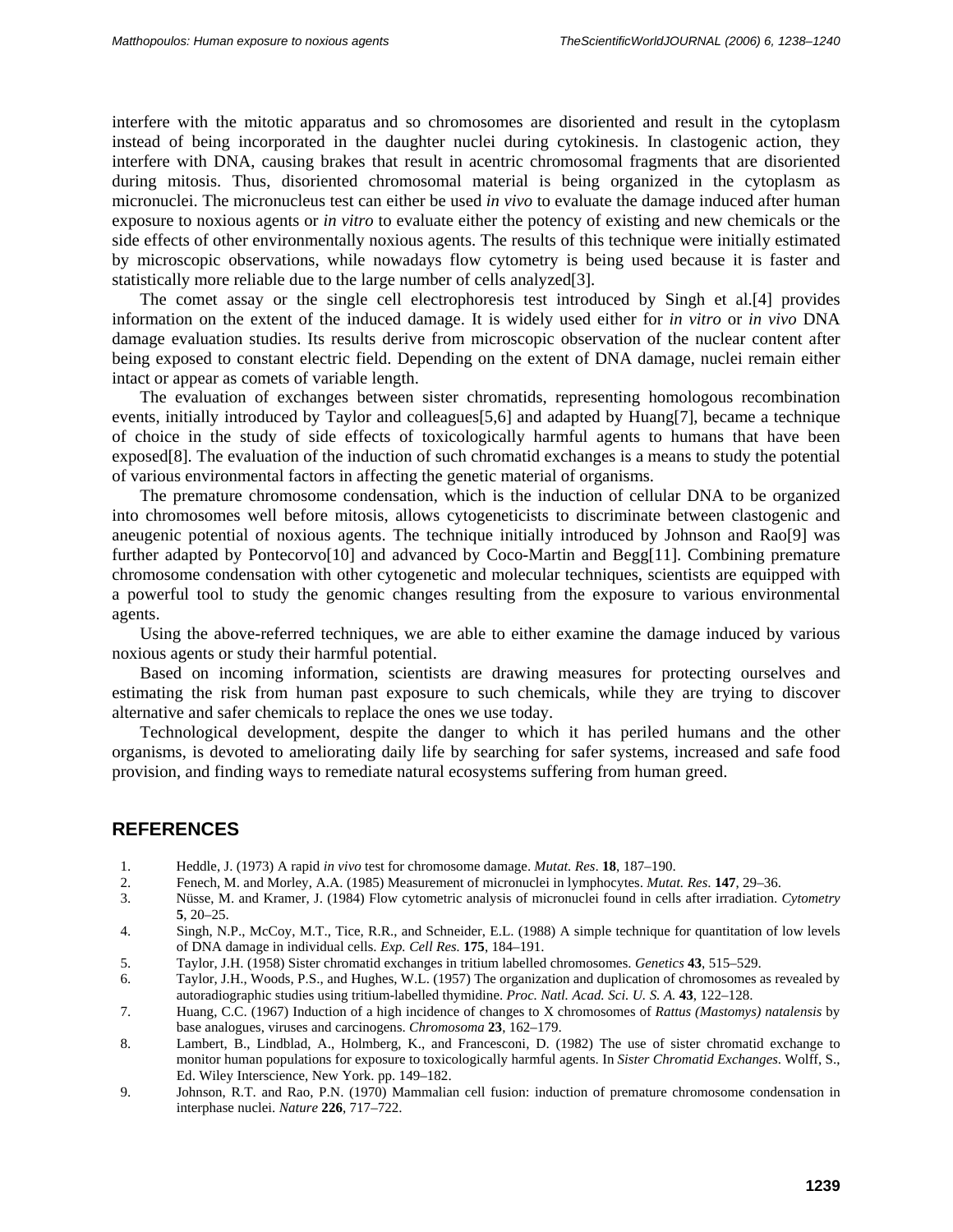interfere with the mitotic apparatus and so chromosomes are disoriented and result in the cytoplasm instead of being incorporated in the daughter nuclei during cytokinesis. In clastogenic action, they interfere with DNA, causing brakes that result in acentric chromosomal fragments that are disoriented during mitosis. Thus, disoriented chromosomal material is being organized in the cytoplasm as micronuclei. The micronucleus test can either be used *in vivo* to evaluate the damage induced after human exposure to noxious agents or *in vitro* to evaluate either the potency of existing and new chemicals or the side effects of other environmentally noxious agents. The results of this technique were initially estimated by microscopic observations, while nowadays flow cytometry is being used because it is faster and statistically more reliable due to the large number of cells analyzed[3].

The comet assay or the single cell electrophoresis test introduced by Singh et al.[4] provides information on the extent of the induced damage. It is widely used either for *in vitro* or *in vivo* DNA damage evaluation studies. Its results derive from microscopic observation of the nuclear content after being exposed to constant electric field. Depending on the extent of DNA damage, nuclei remain either intact or appear as comets of variable length.

The evaluation of exchanges between sister chromatids, representing homologous recombination events, initially introduced by Taylor and colleagues[5,6] and adapted by Huang[7], became a technique of choice in the study of side effects of toxicologically harmful agents to humans that have been exposed[8]. The evaluation of the induction of such chromatid exchanges is a means to study the potential of various environmental factors in affecting the genetic material of organisms.

The premature chromosome condensation, which is the induction of cellular DNA to be organized into chromosomes well before mitosis, allows cytogeneticists to discriminate between clastogenic and aneugenic potential of noxious agents. The technique initially introduced by Johnson and Rao[9] was further adapted by Pontecorvo[10] and advanced by Coco-Martin and Begg[11]. Combining premature chromosome condensation with other cytogenetic and molecular techniques, scientists are equipped with a powerful tool to study the genomic changes resulting from the exposure to various environmental agents.

Using the above-referred techniques, we are able to either examine the damage induced by various noxious agents or study their harmful potential.

Based on incoming information, scientists are drawing measures for protecting ourselves and estimating the risk from human past exposure to such chemicals, while they are trying to discover alternative and safer chemicals to replace the ones we use today.

Technological development, despite the danger to which it has periled humans and the other organisms, is devoted to ameliorating daily life by searching for safer systems, increased and safe food provision, and finding ways to remediate natural ecosystems suffering from human greed.

## **REFERENCES**

- 1. Heddle, J. (1973) A rapid *in vivo* test for chromosome damage. *Mutat. Res*. **18**, 187–190.
- 2. Fenech, M. and Morley, A.A. (1985) Measurement of micronuclei in lymphocytes. *Mutat. Res*. **147**, 29–36.
- 3. Nüsse, M. and Kramer, J. (1984) Flow cytometric analysis of micronuclei found in cells after irradiation. *Cytometry*  **5**, 20–25.
- 4. Singh, N.P., McCoy, M.T., Tice, R.R., and Schneider, E.L. (1988) A simple technique for quantitation of low levels of DNA damage in individual cells. *Exp. Cell Res.* **175**, 184–191.
- 5. Taylor, J.H. (1958) Sister chromatid exchanges in tritium labelled chromosomes. *Genetics* **43**, 515–529.
- 6. Taylor, J.H., Woods, P.S., and Hughes, W.L. (1957) The organization and duplication of chromosomes as revealed by autoradiographic studies using tritium-labelled thymidine. *Proc. Natl. Acad. Sci. U. S. A.* **43**, 122–128.
- 7. Huang, C.C. (1967) Induction of a high incidence of changes to X chromosomes of *Rattus (Mastomys) natalensis* by base analogues, viruses and carcinogens. *Chromosoma* **23**, 162–179.
- 8. Lambert, B., Lindblad, A., Holmberg, K., and Francesconi, D. (1982) The use of sister chromatid exchange to monitor human populations for exposure to toxicologically harmful agents. In *Sister Chromatid Exchanges*. Wolff, S., Ed. Wiley Interscience, New York. pp. 149–182.
- 9. Johnson, R.T. and Rao, P.N. (1970) Mammalian cell fusion: induction of premature chromosome condensation in interphase nuclei. *Nature* **226**, 717–722.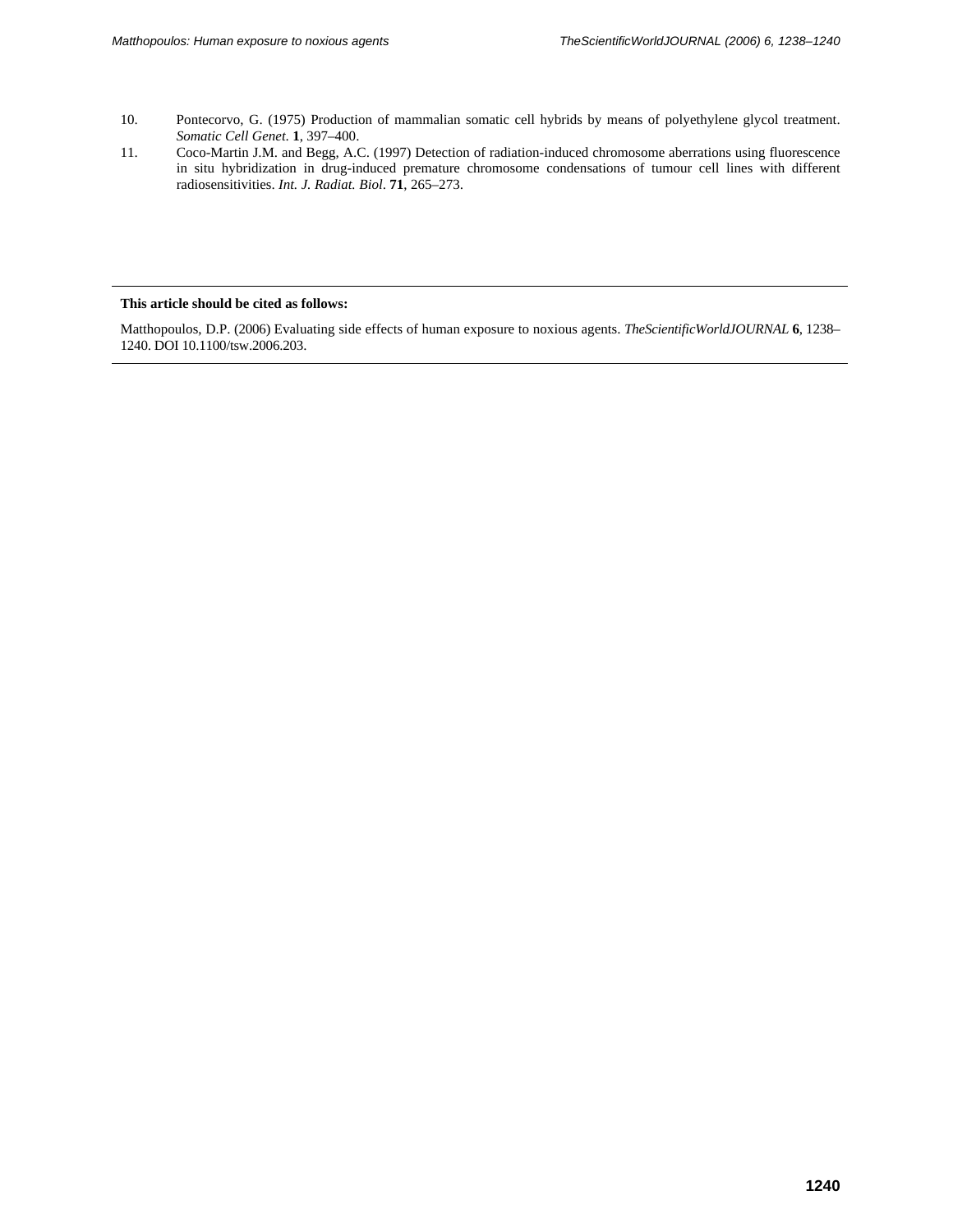- 10. Pontecorvo, G. (1975) Production of mammalian somatic cell hybrids by means of polyethylene glycol treatment. *Somatic Cell Genet*. **1**, 397–400.
- 11. Coco-Martin J.M. and Begg, A.C. (1997) Detection of radiation-induced chromosome aberrations using fluorescence in situ hybridization in drug-induced premature chromosome condensations of tumour cell lines with different radiosensitivities. *Int. J. Radiat. Biol*. **71**, 265–273.

## **This article should be cited as follows:**

Matthopoulos, D.P. (2006) Evaluating side effects of human exposure to noxious agents. *TheScientificWorldJOURNAL* **6**, 1238– 1240. DOI 10.1100/tsw.2006.203.